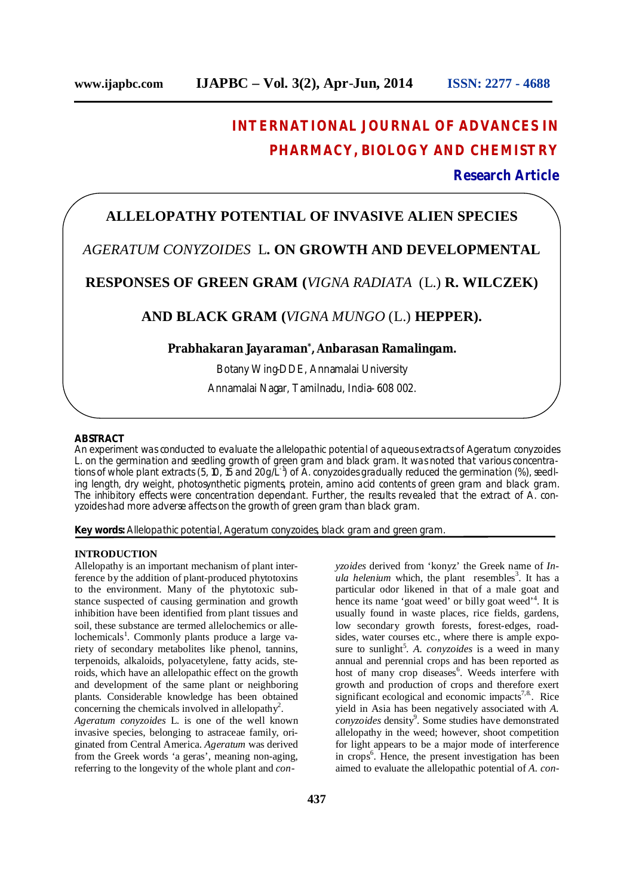# **INTERNATIONAL JOURNAL OF ADVANCES IN PHARMACY, BIOLOGY AND CHEMISTRY**

## **Research Article**

# **ALLELOPATHY POTENTIAL OF INVASIVE ALIEN SPECIES**

# *AGERATUM CONYZOIDES* L**. ON GROWTH AND DEVELOPMENTAL**

## **RESPONSES OF GREEN GRAM (***VIGNA RADIATA* (L.) **R. WILCZEK)**

## **AND BLACK GRAM (***VIGNA MUNGO* (L.) **HEPPER).**

### **Prabhakaran Jayaraman\* , Anbarasan Ramalingam.**

Botany Wing-DDE, Annamalai University Annamalai Nagar, Tamilnadu, India- 608 002.

#### **ABSTRACT**

An experiment was conducted to evaluate the allelopathic potential of aqueous extracts of *Ageratum conyzoides*  L. on the germination and seedling growth of green gram and black gram. It was noted that various concentrations of whole plant extracts (5, 10, 15 and 20g/L-1 ) of *A. conyzoides* gradually reduced the germination (%), seedling length, dry weight, photosynthetic pigments, protein, amino acid contents of green gram and black gram. The inhibitory effects were concentration dependant. Further, the results revealed that the extract of *A. conyzoides* had more adverse affects on the growth of green gram than black gram.

**Key words:** Allelopathic potential, *Ageratum conyzoides*, black gram and green gram.

#### **INTRODUCTION**

Allelopathy is an important mechanism of plant interference by the addition of plant-produced phytotoxins to the environment. Many of the phytotoxic substance suspected of causing germination and growth inhibition have been identified from plant tissues and soil, these substance are termed allelochemics or allelochemicals<sup>1</sup>. Commonly plants produce a large variety of secondary metabolites like phenol, tannins, terpenoids, alkaloids, polyacetylene, fatty acids, steroids, which have an allelopathic effect on the growth and development of the same plant or neighboring plants. Considerable knowledge has been obtained concerning the chemicals involved in allelopathy<sup>2</sup>.

*Ageratum conyzoides* L*.* is one of the well known invasive species, belonging to astraceae family, originated from Central America. *Ageratum* was derived from the Greek words 'a geras', meaning non-aging, referring to the longevity of the whole plant and *con-* *yzoides* derived from 'konyz' the Greek name of *In* $ula$  *helenium* which, the plant resembles<sup>3</sup>. It has a particular odor likened in that of a male goat and hence its name 'goat weed' or billy goat weed'<sup>4</sup>. It is usually found in waste places, rice fields, gardens, low secondary growth forests, forest-edges, roadsides, water courses etc., where there is ample exposure to sunlight<sup>5</sup>. A. *conyzoides* is a weed in many annual and perennial crops and has been reported as host of many crop diseases<sup>6</sup>. Weeds interfere with growth and production of crops and therefore exert significant ecological and economic impacts $7,8$ . Rice yield in Asia has been negatively associated with *A.*  conyzoides density<sup>9</sup>. Some studies have demonstrated allelopathy in the weed; however, shoot competition for light appears to be a major mode of interference in crops<sup>6</sup>. Hence, the present investigation has been aimed to evaluate the allelopathic potential of *A. con-*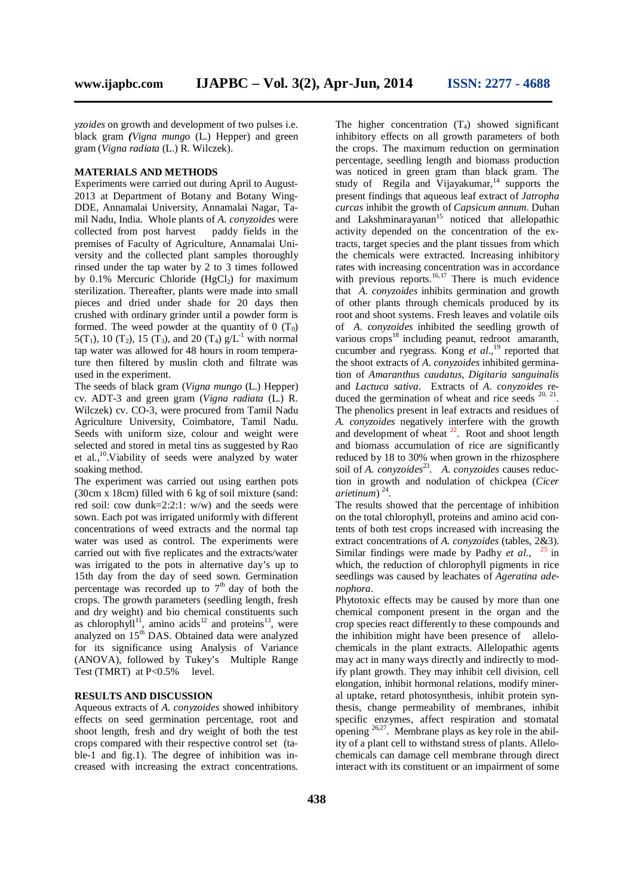*yzoides* on growth and development of two pulses i.e. black gram *(Vigna mungo* (L.) Hepper) and green gram (*Vigna radiata* (L.) R. Wilczek).

#### **MATERIALS AND METHODS**

Experiments were carried out during April to August-2013 at Department of Botany and Botany Wing-DDE, Annamalai University, Annamalai Nagar, Tamil Nadu, India. Whole plants of *A. conyzoides* were collected from post harvest paddy fields in the premises of Faculty of Agriculture, Annamalai University and the collected plant samples thoroughly rinsed under the tap water by 2 to 3 times followed by  $0.1\%$  Mercuric Chloride (HgCl<sub>2</sub>) for maximum sterilization. Thereafter, plants were made into small pieces and dried under shade for 20 days then crushed with ordinary grinder until a powder form is formed. The weed powder at the quantity of 0  $(T_0)$ 5(T<sub>1</sub>), 10 (T<sub>2</sub>), 15 (T<sub>3</sub>), and 20 (T<sub>4</sub>)  $g/L^{-1}$  with normal tap water was allowed for 48 hours in room temperature then filtered by muslin cloth and filtrate was used in the experiment.

The seeds of black gram (*Vigna mungo* (L.) Hepper) cv. ADT-3 and green gram (*Vigna radiata* (L.) R. Wilczek) cv. CO-3, were procured from Tamil Nadu Agriculture University, Coimbatore, Tamil Nadu. Seeds with uniform size, colour and weight were selected and stored in metal tins as suggested by Rao et al.,<sup>10</sup>.Viability of seeds were analyzed by water soaking method.

The experiment was carried out using earthen pots (30cm x 18cm) filled with 6 kg of soil mixture (sand: red soil: cow dunk=2:2:1: w/w) and the seeds were sown. Each pot was irrigated uniformly with different concentrations of weed extracts and the normal tap water was used as control. The experiments were carried out with five replicates and the extracts/water was irrigated to the pots in alternative day's up to 15th day from the day of seed sown. Germination percentage was recorded up to  $7<sup>th</sup>$  day of both the crops. The growth parameters (seedling length, fresh and dry weight) and bio chemical constituents such as chlorophyll<sup>11</sup>, amino acids<sup>12</sup> and proteins<sup>13</sup>, were analyzed on 15<sup>th</sup> DAS. Obtained data were analyzed for its significance using Analysis of Variance (ANOVA), followed by Tukey's Multiple Range Test (TMRT) at P<0.5% level.

#### **RESULTS AND DISCUSSION**

Aqueous extracts of *A. conyzoides* showed inhibitory effects on seed germination percentage, root and shoot length, fresh and dry weight of both the test crops compared with their respective control set (table-1 and fig.1). The degree of inhibition was increased with increasing the extract concentrations.

The higher concentration  $(T_4)$  showed significant inhibitory effects on all growth parameters of both the crops. The maximum reduction on germination percentage, seedling length and biomass production was noticed in green gram than black gram. The study of Regila and Vijayakumar, $14$  supports the present findings that aqueous leaf extract of *Jatropha curcas* inhibit the growth of *Capsicum annum.* Duhan and Lakshminarayanan $15$  noticed that allelopathic activity depended on the concentration of the extracts, target species and the plant tissues from which the chemicals were extracted. Increasing inhibitory rates with increasing concentration was in accordance with previous reports. $16,17$  There is much evidence that *A. conyzoides* inhibits germination and growth of other plants through chemicals produced by its root and shoot systems. Fresh leaves and volatile oils of *A. conyzoides* inhibited the seedling growth of various  $\c{c}$  crops<sup>18</sup> including peanut, redroot amaranth, cucumber and ryegrass. Kong *et al*., <sup>19</sup> reported that the shoot extracts of *A. conyzoides* inhibited germination of *Amaranthus caudatus*, *Digitaria sanguinalis* and *Lactuca sativa*. Extracts of *A. conyzoides* reduced the germination of wheat and rice seeds  $20, 21$ . The phenolics present in leaf extracts and residues of *A. conyzoides* negatively interfere with the growth and development of wheat  $2^2$ . Root and shoot length and biomass accumulation of rice are significantly reduced by 18 to 30% when grown in the rhizosphere soil of *A. conyzoides*<sup>23</sup>. A. *conyzoides* causes reduction in growth and nodulation of chickpea (*Cicer arietinum*) <sup>24</sup> .

The results showed that the percentage of inhibition on the total chlorophyll, proteins and amino acid contents of both test crops increased with increasing the extract concentrations of *A. conyzoides* (tables, 2&3). Similar findings were made by Padhy *et al.,* <sup>25</sup> in which, the reduction of chlorophyll pigments in rice seedlings was caused by leachates of *Ageratina adenophora*.

Phytotoxic effects may be caused by more than one chemical component present in the organ and the crop species react differently to these compounds and the inhibition might have been presence of allelochemicals in the plant extracts. Allelopathic agents may act in many ways directly and indirectly to modify plant growth. They may inhibit cell division, cell elongation, inhibit hormonal relations, modify mineral uptake, retard photosynthesis, inhibit protein synthesis, change permeability of membranes, inhibit specific enzymes, affect respiration and stomatal opening  $26,27$ . Membrane plays as key role in the ability of a plant cell to withstand stress of plants. Allelochemicals can damage cell membrane through direct interact with its constituent or an impairment of some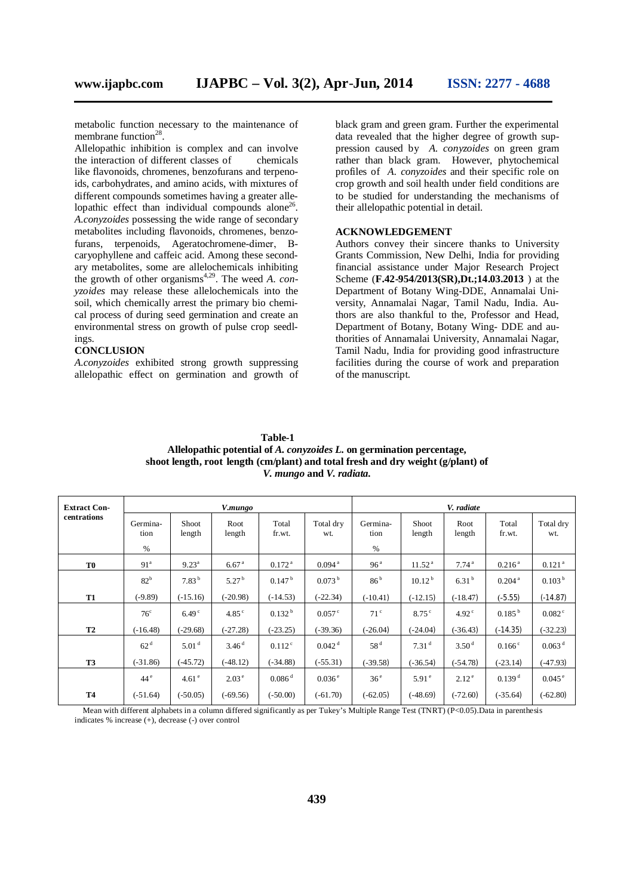metabolic function necessary to the maintenance of membrane function<sup>28</sup>.

Allelopathic inhibition is complex and can involve the interaction of different classes of chemicals like flavonoids, chromenes, benzofurans and terpenoids, carbohydrates, and amino acids, with mixtures of different compounds sometimes having a greater allelopathic effect than individual compounds alone<sup>26</sup>. *A.conyzoides* possessing the wide range of secondary metabolites including flavonoids, chromenes, benzofurans, terpenoids, Ageratochromene-dimer, Βcaryophyllene and caffeic acid. Among these secondary metabolites, some are allelochemicals inhibiting the growth of other organisms 4,29 . The weed *A. conyzoides* may release these allelochemicals into the soil, which chemically arrest the primary bio chemical process of during seed germination and create an environmental stress on growth of pulse crop seedlings.

#### **CONCLUSION**

*A.conyzoides* exhibited strong growth suppressing allelopathic effect on germination and growth of

black gram and green gram. Further the experimental data revealed that the higher degree of growth suppression caused by *A. conyzoides* on green gram rather than black gram. However, phytochemical profiles of *A. conyzoides* and their specific role on crop growth and soil health under field conditions are to be studied for understanding the mechanisms of their allelopathic potential in detail.

#### **ACKNOWLEDGEMENT**

Authors convey their sincere thanks to University Grants Commission, New Delhi, India for providing financial assistance under Major Research Project Scheme (**F.42-954/2013(SR),Dt.;14.03.2013** ) at the Department of Botany Wing-DDE, Annamalai University, Annamalai Nagar, Tamil Nadu, India. Authors are also thankful to the, Professor and Head, Department of Botany, Botany Wing- DDE and authorities of Annamalai University, Annamalai Nagar, Tamil Nadu, India for providing good infrastructure facilities during the course of work and preparation of the manuscript.

**Table-1 Allelopathic potential of** *A. conyzoides L.* **on germination percentage, shoot length, root length (cm/plant) and total fresh and dry weight (g/plant) of** *V. mungo* **and** *V. radiata.*

| <b>Extract Con-</b><br>centrations | V.mungo          |                   |                   |                      |                      | V. radiate       |                    |                   |                    |                      |
|------------------------------------|------------------|-------------------|-------------------|----------------------|----------------------|------------------|--------------------|-------------------|--------------------|----------------------|
|                                    | Germina-<br>tion | Shoot<br>length   | Root<br>length    | Total<br>fr.wt.      | Total dry<br>wt.     | Germina-<br>tion | Shoot<br>length    | Root<br>length    | Total<br>fr.wt.    | Total dry<br>wt.     |
|                                    | %                |                   |                   |                      |                      | %                |                    |                   |                    |                      |
| T <sub>0</sub>                     | 91 <sup>a</sup>  | $9.23^{\rm a}$    | 6.67 <sup>a</sup> | 0.172 <sup>a</sup>   | $0.094$ <sup>a</sup> | 96 <sup>a</sup>  | 11.52 <sup>a</sup> | 7.74 <sup>a</sup> | 0.216 <sup>a</sup> | 0.121 <sup>a</sup>   |
|                                    | 82 <sup>b</sup>  | 7.83 <sup>b</sup> | 5.27 <sup>b</sup> | 0.147 <sup>b</sup>   | 0.073 <sup>b</sup>   | 86 <sup>b</sup>  | 10.12 <sup>b</sup> | 6.31 <sup>b</sup> | 0.204 <sup>a</sup> | 0.103 <sup>b</sup>   |
| <b>T1</b>                          | $(-9.89)$        | $(-15.16)$        | $-20.98$          | $(-14.53)$           | $(-22.34)$           | $(-10.41)$       | $(-12.15)$         | $(-18.47)$        | $(-5.55)$          | $(-14.87)$           |
|                                    | $76^{\circ}$     | 6.49 <sup>c</sup> | 4.85 <sup>c</sup> | 0.132 <sup>b</sup>   | $0.057$ <sup>c</sup> | 71 <sup>c</sup>  | $8.75^{\circ}$     | 4.92 <sup>c</sup> | $0.185^{b}$        | $0.082^{\circ}$      |
| <b>T2</b>                          | $(-16.48)$       | $(-29.68)$        | $(-27.28)$        | $(-23.25)$           | $(-39.36)$           | $(-26.04)$       | $(-24.04)$         | $(-36.43)$        | $(-14.35)$         | $(-32.23)$           |
|                                    | 62 <sup>d</sup>  | 5.01 <sup>d</sup> | 3.46 <sup>d</sup> | 0.112 <sup>c</sup>   | $0.042$ <sup>d</sup> | 58 <sup>d</sup>  | 7.31 <sup>d</sup>  | 3.50 <sup>d</sup> | $0.166^{\circ}$    | 0.063 <sup>d</sup>   |
| <b>T3</b>                          | $(-31.86)$       | $(-45.72)$        | $(-48.12)$        | $(-34.88)$           | $(-55.31)$           | $(-39.58)$       | $(-36.54)$         | $(-54.78)$        | $(-23.14)$         | $(-47.93)$           |
|                                    | 44 <sup>e</sup>  | 4.61 <sup>e</sup> | $2.03^{\circ}$    | $0.086$ <sup>d</sup> | $0.036^{\circ}$      | 36 <sup>e</sup>  | $5.91^{\circ}$     | $2.12^{\circ}$    | 0.139 <sup>d</sup> | $0.045$ <sup>e</sup> |
| <b>T4</b>                          | $(-51.64)$       | $(-50.05)$        | $(-69.56)$        | $(-50.00)$           | $(-61.70)$           | $(-62.05)$       | $(-48.69)$         | $(-72.60)$        | $(-35.64)$         | $(-62.80)$           |

 Mean with different alphabets in a column differed significantly as per Tukey's Multiple Range Test (TNRT) (P<0.05).Data in parenthesis indicates % increase (+), decrease (-) over control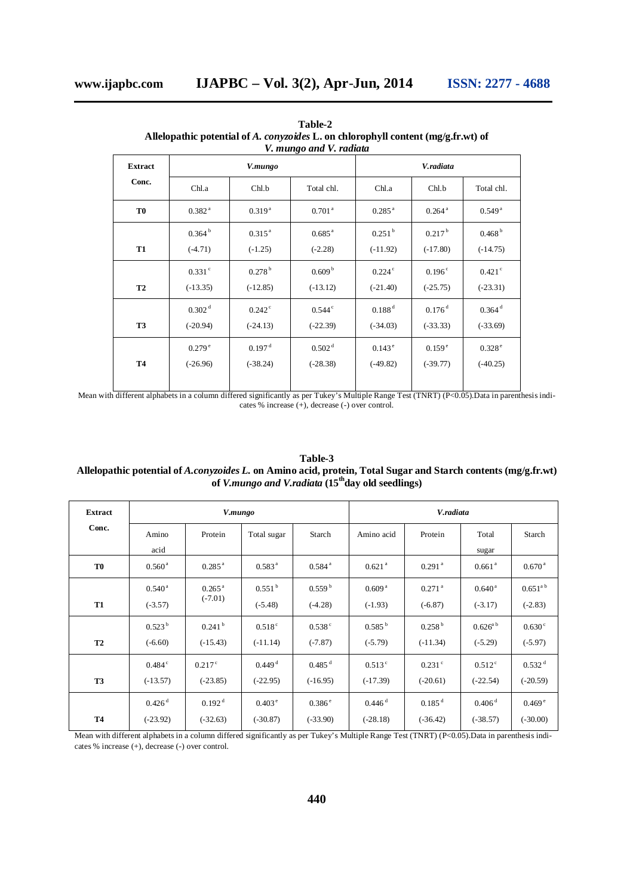| <b>Extract</b> |                    | V.mungo            |                      | V.radiata            |                      |                      |  |  |
|----------------|--------------------|--------------------|----------------------|----------------------|----------------------|----------------------|--|--|
| Conc.          | Chl.a              | Chl.b              | Total chl.           | Chl.a                | Chl.b                | Total chl.           |  |  |
| T <sub>0</sub> | 0.382 <sup>a</sup> | $0.319^{a}$        | 0.701 <sup>a</sup>   | $0.285$ $^{\rm a}$   | $0.264$ <sup>a</sup> | 0.549 <sup>a</sup>   |  |  |
| <b>T1</b>      | 0.364 <sup>b</sup> | $0.315^{a}$        | $0.685^{\text{a}}$   | $0.251$ <sup>b</sup> | 0.217 <sup>b</sup>   | 0.468 <sup>b</sup>   |  |  |
|                | $(-4.71)$          | $(-1.25)$          | $(-2.28)$            | $(-11.92)$           | $(-17.80)$           | $(-14.75)$           |  |  |
| <b>T2</b>      | $0.331$ $\degree$  | 0.278 <sup>b</sup> | 0.609 <sup>b</sup>   | $0.224$ <sup>c</sup> | 0.196 <sup>c</sup>   | $0.421$ <sup>c</sup> |  |  |
|                | $(-13.35)$         | $(-12.85)$         | $(-13.12)$           | $(-21.40)$           | $(-25.75)$           | $(-23.31)$           |  |  |
| <b>T3</b>      | 0.302 <sup>d</sup> | $0.242^{\circ}$    | $0.544$ <sup>c</sup> | 0.188 <sup>d</sup>   | $0.176$ <sup>d</sup> | $0.364$ <sup>d</sup> |  |  |
|                | $(-20.94)$         | $(-24.13)$         | $(-22.39)$           | $(-34.03)$           | $(-33.33)$           | $(-33.69)$           |  |  |
| <b>T4</b>      | 0.279e             | 0.197 <sup>d</sup> | 0.502 <sup>d</sup>   | $0.143^{\circ}$      | 0.159e               | 0.328e               |  |  |
|                | $(-26.96)$         | $(-38.24)$         | $(-28.38)$           | $(-49.82)$           | $(-39.77)$           | $(-40.25)$           |  |  |

**Table-2 Allelopathic potential of** *A. conyzoides* **L. on chlorophyll content (mg/g.fr.wt) of** *V. mungo and V. radiata*

Mean with different alphabets in a column differed significantly as per Tukey's Multiple Range Test (TNRT) (P<0.05).Data in parenthesis indicates % increase (+), decrease (-) over control.

| of V.mungo and V.radiata (15 day old seedlings) |                      |                    |                      |                      |                      |                      |                      |                      |  |
|-------------------------------------------------|----------------------|--------------------|----------------------|----------------------|----------------------|----------------------|----------------------|----------------------|--|
| <b>Extract</b><br>Conc.                         |                      | V.mungo            |                      |                      | V.radiata            |                      |                      |                      |  |
|                                                 | Amino<br>acid        | Protein            | Total sugar          | Starch               | Amino acid           | Protein              | Total<br>sugar       | Starch               |  |
| T <sub>0</sub>                                  | 0.560 <sup>a</sup>   | $0.285^{\text{a}}$ | 0.583 <sup>a</sup>   | 0.584 <sup>a</sup>   | 0.621 <sup>a</sup>   | 0.291 <sup>a</sup>   | 0.661 <sup>a</sup>   | 0.670 <sup>a</sup>   |  |
|                                                 | $0.540^{\text{a}}$   | $0.265^{\text{a}}$ | 0.551 <sup>b</sup>   | 0.559 <sup>b</sup>   | 0.609 <sup>a</sup>   | $0.271$ <sup>a</sup> | $0.640^{\text{a}}$   | $0.651^{\text{a b}}$ |  |
| <b>T1</b>                                       | $(-3.57)$            | $(-7.01)$          | $(-5.48)$            | $(-4.28)$            | $(-1.93)$            | $(-6.87)$            | $(-3.17)$            | $(-2.83)$            |  |
|                                                 | 0.523 <sup>b</sup>   | 0.241 <sup>b</sup> | $0.518$ <sup>c</sup> | 0.538c               | $0.585^{b}$          | 0.258 <sup>b</sup>   | $0.626^{a\,b}$       | 0.630 <sup>c</sup>   |  |
| <b>T2</b>                                       | $(-6.60)$            | $(-15.43)$         | $(-11.14)$           | $(-7.87)$            | $(-5.79)$            | $(-11.34)$           | $(-5.29)$            | $(-5.97)$            |  |
|                                                 | $0.484^{\circ}$      | $0.217$ °          | $0.449$ <sup>d</sup> | $0.485$ <sup>d</sup> | $0.513^{\circ}$      | $0.231$ $\degree$    | $0.512$ <sup>c</sup> | 0.532 <sup>d</sup>   |  |
| <b>T3</b>                                       | $(-13.57)$           | $(-23.85)$         | $(-22.95)$           | $(-16.95)$           | $(-17.39)$           | $(-20.61)$           | $(-22.54)$           | $(-20.59)$           |  |
|                                                 | $0.426$ <sup>d</sup> | 0.192 <sup>d</sup> | $0.403^{\circ}$      | $0.386$ <sup>e</sup> | $0.446$ <sup>d</sup> | $0.185$ <sup>d</sup> | 0.406 <sup>d</sup>   | 0.469 <sup>e</sup>   |  |
| <b>T4</b>                                       | $(-23.92)$           | $(-32.63)$         | $(-30.87)$           | $(-33.90)$           | $(-28.18)$           | $(-36.42)$           | $(-38.57)$           | $(-30.00)$           |  |

**Table-3 Allelopathic potential of** *A.conyzoides L.* **on Amino acid, protein, Total Sugar and Starch contents (mg/g.fr.wt) of** *V.mungo and V.radiata* **(15thday old seedlings)**

Mean with different alphabets in a column differed significantly as per Tukey's Multiple Range Test (TNRT) (P<0.05).Data in parenthesis indicates % increase (+), decrease (-) over control.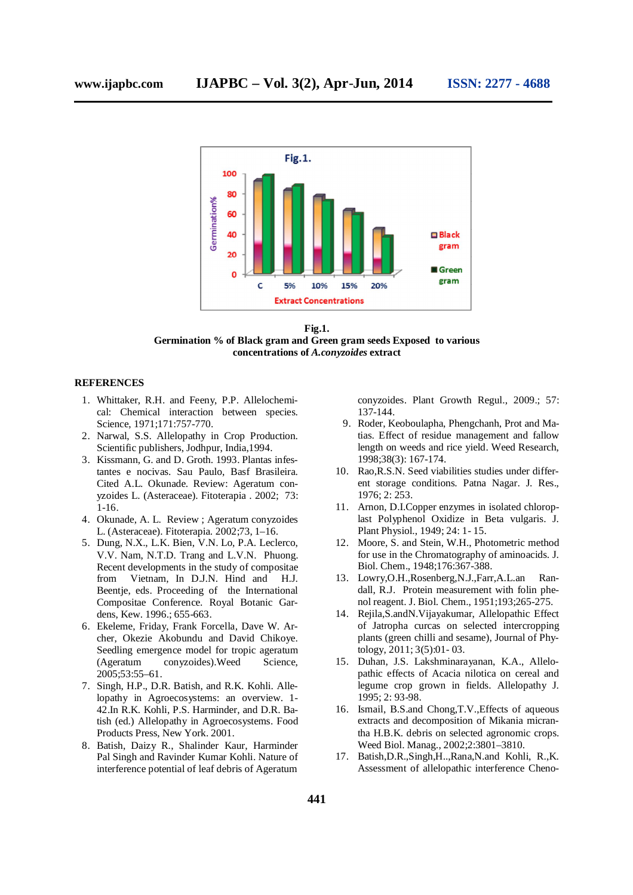

**Fig.1. Germination % of Black gram and Green gram seeds Exposed to various concentrations of** *A.conyzoides* **extract**

#### **REFERENCES**

- 1. Whittaker, R.H. and Feeny, P.P. Allelochemical: Chemical interaction between species. Science, 1971;171:757-770.
- 2. Narwal, S.S. Allelopathy in Crop Production. Scientific publishers, Jodhpur, India,1994.
- 3. Kissmann, G. and D. Groth. 1993. Plantas infestantes e nocivas. Sau Paulo, Basf Brasileira. Cited A.L. Okunade. Review: Ageratum conyzoides L. (Asteraceae). Fitoterapia . 2002; 73: 1-16.
- 4. Okunade, A. L. Review ; Ageratum conyzoides L. (Asteraceae). Fitoterapia. 2002;73, 1–16.
- 5. Dung, N.X., L.K. Bien, V.N. Lo, P.A. Leclerco, V.V. Nam, N.T.D. Trang and L.V.N. Phuong. Recent developments in the study of compositae from Vietnam, In D.J.N. Hind and H.J. Beentje, eds. Proceeding of the International Compositae Conference. Royal Botanic Gardens, Kew. 1996.; 655-663.
- 6. Ekeleme, Friday, Frank Forcella, Dave W. Archer, Okezie Akobundu and David Chikoye. Seedling emergence model for tropic ageratum (Ageratum conyzoides).Weed Science, 2005;53:55–61.
- 7. Singh, H.P., D.R. Batish, and R.K. Kohli. Allelopathy in Agroecosystems: an overview. 1- 42.In R.K. Kohli, P.S. Harminder, and D.R. Batish (ed.) Allelopathy in Agroecosystems. Food Products Press, New York. 2001.
- 8. Batish, Daizy R., Shalinder Kaur, Harminder Pal Singh and Ravinder Kumar Kohli. Nature of interference potential of leaf debris of Ageratum

conyzoides. Plant Growth Regul., 2009.; 57: 137-144.

- 9. Roder, Keoboulapha, Phengchanh, Prot and Matias. Effect of residue management and fallow length on weeds and rice yield. Weed Research, 1998;38(3): 167-174.
- 10. Rao,R.S.N. Seed viabilities studies under different storage conditions. Patna Nagar. J. Res., 1976; 2: 253.
- 11. Arnon, D.I.Copper enzymes in isolated chloroplast Polyphenol Oxidize in Beta vulgaris. J. Plant Physiol., 1949; 24: 1- 15.
- 12. Moore, S. and Stein, W.H., Photometric method for use in the Chromatography of aminoacids. J. Biol. Chem., 1948;176:367-388.
- 13. Lowry,O.H.,Rosenberg,N.J.,Farr,A.L.an Randall, R.J. Protein measurement with folin phenol reagent. J. Biol. Chem., 1951;193;265-275.
- 14. Rejila,S.andN.Vijayakumar, Allelopathic Effect of Jatropha curcas on selected intercropping plants (green chilli and sesame), Journal of Phytology, 2011; 3(5):01- 03.
- 15. Duhan, J.S. Lakshminarayanan, K.A., Allelopathic effects of Acacia nilotica on cereal and legume crop grown in fields. Allelopathy J. 1995; 2: 93-98.
- 16. Ismail, B.S.and Chong,T.V.,Effects of aqueous extracts and decomposition of Mikania micrantha H.B.K. debris on selected agronomic crops. Weed Biol. Manag., 2002;2:3801–3810.
- 17. Batish,D.R.,Singh,H..,Rana,N.and Kohli, R.,K. Assessment of allelopathic interference Cheno-